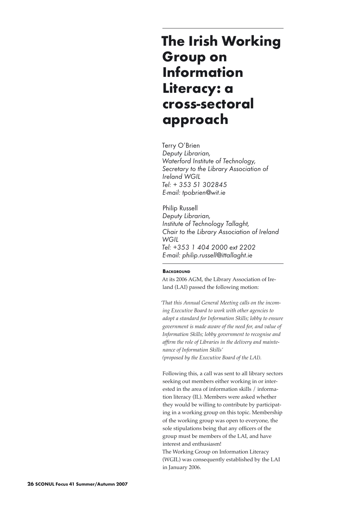# **The Irish Working Group on Information Literacy: a cross-sectoral approach**

Terry O'Brien *Deputy Librarian, Waterford Institute of Technology, Secretary to the Library Association of Ireland WGIL Tel: + 353 51 302845 E-mail: tpobrien@wit.ie*

Philip Russell *Deputy Librarian, Institute of Technology Tallaght, Chair to the Library Association of Ireland WGIL Tel: +353 1 404 2000 ext 2202 E-mail: philip.russell@ittallaght.ie* 

## **BACKGROUND**

At its 2006 AGM, the Library Association of Ireland (LAI) passed the following motion:

*'That this Annual General Meeting calls on the incoming Executive Board to work with other agencies to adopt a standard for Information Skills; lobby to ensure government is made aware of the need for, and value of Information Skills; lobby government to recognise and affirm the role of Libraries in the delivery and maintenance of Information Skills' (proposed by the Executive Board of the LAI).*

Following this, a call was sent to all library sectors seeking out members either working in or interested in the area of information skills / information literacy (IL). Members were asked whether they would be willing to contribute by participating in a working group on this topic. Membership of the working group was open to everyone, the sole stipulations being that any officers of the group must be members of the LAI, and have interest and enthusiasm!

The Working Group on Information Literacy (WGIL) was consequently established by the LAI in January 2006.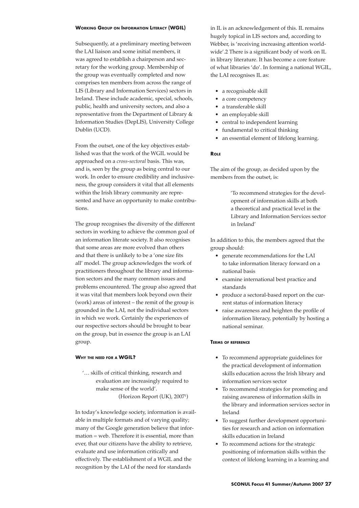#### **Working Group on Information Literacy (WGIL)**

Subsequently, at a preliminary meeting between the LAI liaison and some initial members, it was agreed to establish a chairperson and secretary for the working group. Membership of the group was eventually completed and now comprises ten members from across the range of LIS (Library and Information Services) sectors in Ireland. These include academic, special, schools, public, health and university sectors, and also a representative from the Department of Library & Information Studies (DepLIS), University College Dublin (UCD).

From the outset, one of the key objectives established was that the work of the WGIL would be approached on a *cross-sectoral* basis. This was, and is, seen by the group as being central to our work. In order to ensure credibility and inclusiveness, the group considers it vital that all elements within the Irish library community are represented and have an opportunity to make contributions.

The group recognises the diversity of the different sectors in working to achieve the common goal of an information literate society. It also recognises that some areas are more evolved than others and that there is unlikely to be a 'one size fits all' model. The group acknowledges the work of practitioners throughout the library and information sectors and the many common issues and problems encountered. The group also agreed that it was vital that members look beyond own their (work) areas of interest – the remit of the group is grounded in the LAI, not the individual sectors in which we work. Certainly the experiences of our respective sectors should be brought to bear on the group, but in essence the group is an LAI group.

## **Why the need for a WGIL?**

'… skills of critical thinking, research and evaluation are increasingly required to make sense of the world'. (Horizon Report (UK), 20071 )

In today's knowledge society, information is available in multiple formats and of varying quality; many of the Google generation believe that information = web. Therefore it is essential, more than ever, that our citizens have the ability to retrieve, evaluate and use information critically and effectively. The establishment of a WGIL and the recognition by the LAI of the need for standards

in IL is an acknowledgement of this. IL remains hugely topical in LIS sectors and, according to Webber, is 'receiving increasing attention worldwide'.2 There is a significant body of work on IL in library literature. It has become a core feature of what libraries 'do'. In forming a national WGIL, the LAI recognises IL as:

- a recognisable skill
- a core competency
- a transferable skill
- an employable skill
- central to independent learning
- fundamental to critical thinking
- an essential element of lifelong learning.

#### **Role**

The aim of the group, as decided upon by the members from the outset, is:

> 'To recommend strategies for the development of information skills at both a theoretical and practical level in the Library and Information Services sector in Ireland'

In addition to this, the members agreed that the group should:

- generate recommendations for the LAI to take information literacy forward on a national basis
- examine international best practice and standards
- produce a sectoral-based report on the current status of information literacy
- raise awareness and heighten the profile of information literacy, potentially by hosting a national seminar.

#### **Terms of reference**

- To recommend appropriate guidelines for the practical development of information skills education across the Irish library and information services sector
- To recommend strategies for promoting and raising awareness of information skills in the library and information services sector in Ireland
- To suggest further development opportunities for research and action on information skills education in Ireland
- To recommend actions for the strategic positioning of information skills within the context of lifelong learning in a learning and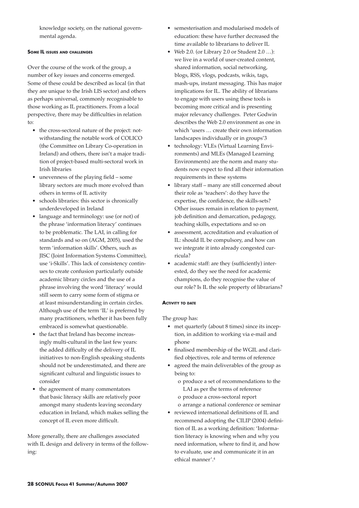knowledge society, on the national governmental agenda.

## **Some IL issues and challenges**

Over the course of the work of the group, a number of key issues and concerns emerged. Some of these could be described as local (in that they are unique to the Irish LIS sector) and others as perhaps universal, commonly recognisable to those working as IL practitioners. From a local perspective, there may be difficulties in relation to:

- the cross-sectoral nature of the project: notwithstanding the notable work of COLICO (the Committee on Library Co-operation in Ireland) and others, there isn't a major tradition of project-based multi-sectoral work in Irish libraries
- unevenness of the playing field some library sectors are much more evolved than others in terms of IL activity
- schools libraries: this sector is chronically underdeveloped in Ireland
- language and terminology: use (or not) of the phrase 'information literacy' continues to be problematic. The LAI, in calling for standards and so on (AGM, 2005), used the term 'information skills'. Others, such as JISC (Joint Information Systems Committee), use 'i-Skills'. This lack of consistency continues to create confusion particularly outside academic library circles and the use of a phrase involving the word 'literacy' would still seem to carry some form of stigma or at least misunderstanding in certain circles. Although use of the term 'IL' is preferred by many practitioners, whether it has been fully embraced is somewhat questionable.
- the fact that Ireland has become increasingly multi-cultural in the last few years: the added difficulty of the delivery of IL initiatives to non-English speaking students should not be underestimated, and there are significant cultural and linguistic issues to consider
- the agreement of many commentators that basic literacy skills are relatively poor amongst many students leaving secondary education in Ireland, which makes selling the concept of IL even more difficult.

More generally, there are challenges associated with IL design and delivery in terms of the following:

- semesterisation and modularised models of education: these have further decreased the time available to librarians to deliver IL
- Web 2.0. (or Library 2.0 or Student 2.0 ...): we live in a world of user-created content, shared information, social networking, blogs, RSS, vlogs, podcasts, wikis, tags, mash-ups, instant messaging. This has major implications for IL. The ability of librarians to engage with users using these tools is becoming more critical and is presenting major relevancy challenges. Peter Godwin describes the Web 2.0 environment as one in which 'users … create their own information landscapes individually or in groups'3
- technology: VLEs (Virtual Learning Environments) and MLEs (Managed Learning Environments) are the norm and many students now expect to find all their information requirements in these systems
- library staff many are still concerned about their role as 'teachers': do they have the expertise, the confidence, the skills-sets? Other issues remain in relation to payment, job definition and demarcation, pedagogy, teaching skills, expectations and so on
- assessment, accreditation and evaluation of IL: should IL be compulsory, and how can we integrate it into already congested curricula?
- academic staff: are they (sufficiently) interested, do they see the need for academic champions, do they recognise the value of our role? Is IL the sole property of librarians?

## **Activity to date**

The group has:

- met quarterly (about 8 times) since its inception, in addition to working via e-mail and phone
- finalised membership of the WGIL and clarified objectives, role and terms of reference
- agreed the main deliverables of the group as being to:
	- o produce a set of recommendations to the LAI as per the terms of reference
	- o produce a cross-sectoral report o arrange a national conference or seminar
- reviewed international definitions of IL and recommend adopting the CILIP (2004) definition of IL as a working definition: 'Information literacy is knowing when and why you need information, where to find it, and how to evaluate, use and communicate it in an ethical manner'.4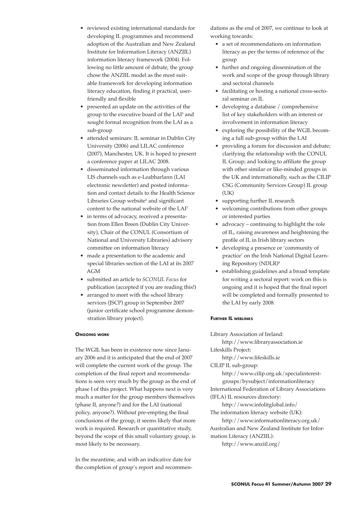- reviewed existing international standards for developing IL programmes and recommend adoption of the Australian and New Zealand Institute for Information Literacy (ANZIIL) information literacy framework (2004). Following no little amount of debate, the group chose the ANZIIL model as the most suitable framework for developing information literacy education, finding it practical, userfriendly and flexible
- presented an update on the activities of the group to the executive board of the LAI<sup>5</sup> and sought formal recognition from the LAI as a sub-group
- attended seminars: IL seminar in Dublin City University (2006) and LILAC conference (2007), Manchester, UK. It is hoped to present a conference paper at LILAC 2008.
- disseminated information through various LIS channels such as e-Leabharlann (LAI electronic newsletter) and posted information and contact details to the Health Science Libraries Group website<sup>6</sup> and significant content to the national website of the LAI7
- in terms of advocacy, received a presentation from Ellen Breen (Dublin City University), Chair of the CONUL (Consortium of National and University Libraries) advisory committee on information literacy
- made a presentation to the academic and special libraries section of the LAI at its 2007 AGM
- submitted an article to *SCONUL Focus* for publication (accepted if you are reading this!)
- arranged to meet with the school library services (JSCP) group in September 2007 (junior certificate school programme demonstration library project).

## **Ongoing work**

The WGIL has been in existence now since January 2006 and it is anticipated that the end of 2007 will complete the current work of the group. The completion of the final report and recommendations is seen very much by the group as the end of phase I of this project. What happens next is very much a matter for the group members themselves (phase II, anyone?) and for the LAI (national policy, anyone?). Without pre-empting the final conclusions of the group, it seems likely that more work is required. Research or quantitative study, beyond the scope of this small voluntary group, is most likely to be necessary.

In the meantime, and with an indicative date for the completion of group's report and recommendations as the end of 2007, we continue to look at working towards:

- a set of recommendations on information literacy as per the terms of reference of the group
- further and ongoing dissemination of the work and scope of the group through library and sectoral channels
- facilitating or hosting a national cross-sectoral seminar on IL
- developing a database / comprehensive list of key stakeholders with an interest or involvement in information literacy
- exploring the possibility of the WGIL becoming a full sub-group within the LAI
- providing a forum for discussion and debate; clarifying the relationship with the CONUL IL Group; and looking to affiliate the group with other similar or like-minded groups in the UK and internationally, such as the CILIP CSG (Community Services Group) IL group (UK)
- supporting further IL research
- welcoming contributions from other groups or interested parties
- advocacy continuing to highlight the role of IL, raising awareness and heightening the profile of IL in Irish library sectors
- developing a presence or 'community of practice' on the Irish National Digital Learning Repository (NDLR)8
- establishing guidelines and a broad template for writing a sectoral report: work on this is ongoing and it is hoped that the final report will be completed and formally presented to the LAI by early 2008.

## **Further IL weblinks**

Library Association of Ireland: http://www.libraryassociation.ie

Lifeskills Project:

http://www.lifeskills.ie

CILIP IL sub-group:

http://www.cilip.org.uk/specialinterestgroups/bysubject/informationliteracy

International Federation of Library Associations (IFLA) IL resources directory:

http://www.infolitglobal.info/ The information literacy website (UK):

http://www.informationliteracy.org.uk/ Australian and New Zealand Institute for Information Literacy (ANZIIL):

http://www.anziil.org/